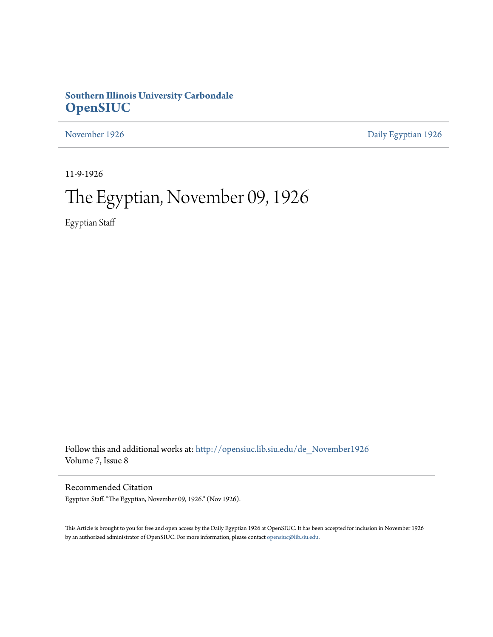# **Southern Illinois University Carbondale [OpenSIUC](http://opensiuc.lib.siu.edu?utm_source=opensiuc.lib.siu.edu%2Fde_November1926%2F4&utm_medium=PDF&utm_campaign=PDFCoverPages)**

[November 1926](http://opensiuc.lib.siu.edu/de_November1926?utm_source=opensiuc.lib.siu.edu%2Fde_November1926%2F4&utm_medium=PDF&utm_campaign=PDFCoverPages) [Daily Egyptian 1926](http://opensiuc.lib.siu.edu/de_1926?utm_source=opensiuc.lib.siu.edu%2Fde_November1926%2F4&utm_medium=PDF&utm_campaign=PDFCoverPages)

11-9-1926

# The Egyptian, November 09, 1926

Egyptian Staff

Follow this and additional works at: [http://opensiuc.lib.siu.edu/de\\_November1926](http://opensiuc.lib.siu.edu/de_November1926?utm_source=opensiuc.lib.siu.edu%2Fde_November1926%2F4&utm_medium=PDF&utm_campaign=PDFCoverPages) Volume 7, Issue 8

Recommended Citation

Egyptian Staff. "The Egyptian, November 09, 1926." (Nov 1926).

This Article is brought to you for free and open access by the Daily Egyptian 1926 at OpenSIUC. It has been accepted for inclusion in November 1926 by an authorized administrator of OpenSIUC. For more information, please contact [opensiuc@lib.siu.edu.](mailto:opensiuc@lib.siu.edu)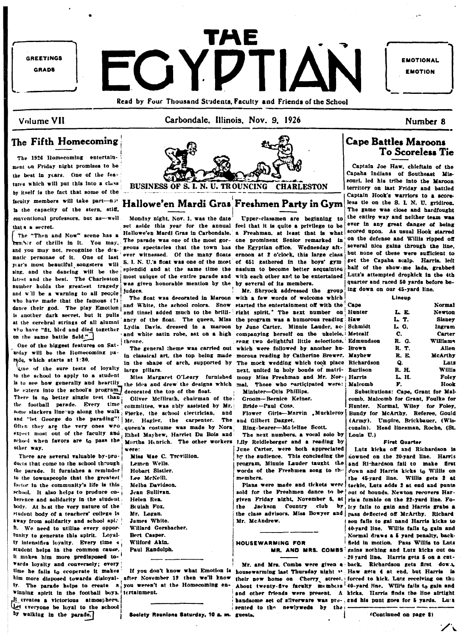

Read by Four Thousand Students, Faculty and Friends of the School

### Volume VII

Carbondale, Illinois, Nov. 9, 1926

Number 8

# The Fifth Homecoming

The 1926 Homecoming entertainment on Friday night promises to be the best in years. One of the features which will put this into a class by itself is the fact that some of the faculty members will take part-not is the capacity of the stern, stiff. conventional professors, but as-well that s a secret.

The "Then and Now" scene has a tumber of thrills in it. You may. and you may not, recognize the dramatic personae of it. One of last year's most beautiful songsters will sing, and the dancing will be the latest and the best. The Charleston number holds the greatest tragedy and will be a warning to all people who have made that the famous (?) dance their god. The play Emotion is another dark secret, but it pulls at the cerebral strings of all alumni on the same battle field."

One of the biggest features on Sattrday will be the Homecoming parade, which starts at 1:30.

One of the sure tests of loyalty large pillars. to the school to apply to a student is to see how generally and heartily he enters into the school's program.] There is no better single test than the football parade. Every time some slackers line up along the walk and "let George do the parading"! Often they are the very ones wro expect most out of the faculty and Ethel Mayhew, Harriet Du Bois and school when favors are to pass the other way.

There are several valuable by-products that come to the school through the parade. It furnishes a reminder to the townspeople that the greatest factor in the community's life is this school. It also helps to produce coherence and solidarity in the student body. At heat the very nature of the student body of a teachers' college is away from solidarity and school spi. h. We need to utilize every opportunity to generate this spirit. Loyalty intensifies loyalty. Every time 4 student heins in the common cause. it makes him more predisposed to-**Wards** loyalty and conversely; every time he fails to cooperate it makes winning spirit in the football boys. tertainment. It creates a victorious atmosphere. Let everyone be loyal to the school by walking in the parade.



Hallowe'en Mardi Gras Freshmen Party in Gym

Monday night, Nov. 1, was the date set aside this year for the annual feel that it is quite a privilege to be The parade was one of the most gor- one prominent Senior remarked in geous spectacles that the town has the Egyptian office. Wednesday aftever witnessed. Of the many floats ernoon at 2 o'clock, this large class S. I. N. U.'s float was one of the most of 651 gathered in the boys' gymsplendid and at the same time the nasium to become better acquainted most unique of the entire parade and with each other and to be entertained was given honorable mention by the by several of its members. judges.

throne.

in the shape of arch, supported by

Miss Margaret O'Leary furnished the idea and drew the designs which mal. Those who participated were: Ma decorated the top of the float.

Oliver McIllrath, chairman of the committee. was ably assisted by Mr. Fierke, the school electrician, and Mr. Hagler, the carpenter. The queen's costume was made by Nora Martha Henrich. The other workers

were: Miss Mae C. Trevillion. Lemen Wells. Hobart Sistler. Lee McNeill. Melba Davidson. Jean Sullivan. Helen Rea. Beulah Fox. Mr. Logan. James White. Willard Gersbacher. **Bert Casper.** Wilford Akin. Paul Randolph.

him more disposed towards disloyal- after November 12 then we'll know iy. The parade helps to create  $n<sub>i</sub>$  you weren't at the Homecoming en-

Society Reunions Saturday, 10 a. m. guests.

Upper-classmen are beginning to Hallowe'en Mardi Gras in Carbondale. a Freshman, at least that is what

Mr. Shryock addressed the group The float was decorated in Maroon with a few words of welcome which and White, the school colors. Snow started the entertainment off with the and tinsel added much to the brilli- right spirit." The next number on Hu ancy of the float. The queen, Miss the program was a humorous reading Ha who have "fit, bled and died together Lydia Davis, dressed in a maroon by June Carter. Minnie Lauder, ac- Sch and white satin robe, sat on a high companying herself on the ukelele. Me sang two delightful little selections. Ed: The general theme was carried out which were followed by another hu- Bre in classical art, the top being made morous reading by Catherine Brewer. Ma The mock wedding which took place Ric next, united in holy bonds of matrimony Miss Freshman and Mr. Nor- Ha Minister-Oris Phillips.

Groom-Bernice Keiner.

Bride-Paul Coss.

Flower Girls-Marvin Muckleroy and Gilbert Dagget.

Ring-bearer-Majeline Scott. The next numbers, a vocal solo by

Lily Reidleberger and a reading by June Carter, were both appreciated by the audience. This concluding the program, Minnie Lauder taught the words of the Freshmen song to the members.

Plans were made and tickets were! sold for the Freshmen dance to be given Friday night, November 5, at the Jackson Country club the class advisors, Miss Bowyer and nass deflected off McArthy. Richard Mr. McAndrew.

# **HOUSEWARMING FOR**

If you don't know what Emotion is housewarming last Thursday night " Haw gets 4 at end, but Harris is their new home on Cherry street. forced to kick. Lutz receiving on the About twenty-five faculty members 40-yard line. Will's fails to gain and and other friends were present. A kicks. Harris finds the line airtight handsome set of silverware was pre-, and his punt goes for 5 yards. Lust sented to the newlyweds by the

**Cape Battles Maroons To Scoreless Tie** 

Captain Joe Haw, chieftain of the Capaha Indians of Southeast Missouri, led his tribe into the Maroon territory on last Friday and battled Captain Hook's warriors to a scoreless tie on the S. I. N. U. gridiron. The game was close and hardfought the entire way and neither team was ever in any great danger of being scored upon. As usual Hook starred on the defense and Willis ripped off several nice gains through the line. but none of these were sufficient to get the Capaha scalp. Harris, left half of the show-me lads, grabbed Lutz's attempted dropkick in the 4th quarter and raced 50 yards before being down on our 45-vard line.

|                | Lineup |                 |
|----------------|--------|-----------------|
| œ              |        | <b>Normal</b>   |
| nter           | L R    | Newton          |
| w              | L T.   | <b>Sisney</b>   |
| midt           | LG.    | Ingram          |
| tcalf          | С.     | Carter          |
| mundson        | R. G.  | <b>Williams</b> |
| מאו            | R. T.  | Allen           |
| vhew           | R. E.  | McArthy         |
| <b>hardson</b> | Q.     | Luts            |
| riison         | R. H.  | Willis          |
| rris           | L H.   | Foley           |
| lcomb          | F.     | Hook            |
|                |        |                 |

Car

Eu

Substitutions: Cape. Grant for Malcomb. Malcomb for Grant, Foulke for Hunter. Normal. Wiley for Foley. Bundy for McArthy. Referee, Gould (Army). Umpire, Brickbauer, (Wisconsin). Head linesman, Roche, (St. Louis U.)

#### **First Quarter**

Lutz kicks off and Richardson is downed on the 20-yard line. Harris and Ri-hardson fail to make first down and Harris kicks to Willis on the 45-vard line. Willis gets 2 at tackle, Lutz adds 2 at end and punts out of bounds. Newton recovers Harris's fumble on the 22-yard line. Fo- $\mathbf{b}\mathbf{y}$  ley fails to gain and Harris grabs a son fails to gai nand Harris kicks to 40-yard line. Willis fails to gain and Normal draws a 5 yard penalty, backfield in motion. Pass Willis to Luts MR. AND MRS. COMBS gains nothing and Lutz kicks out on 20 yard line. Harris gets 5 on a cut-

Mr. and Mrs. Combs were given a back. Richardson gets first down,

(Continued on page 8)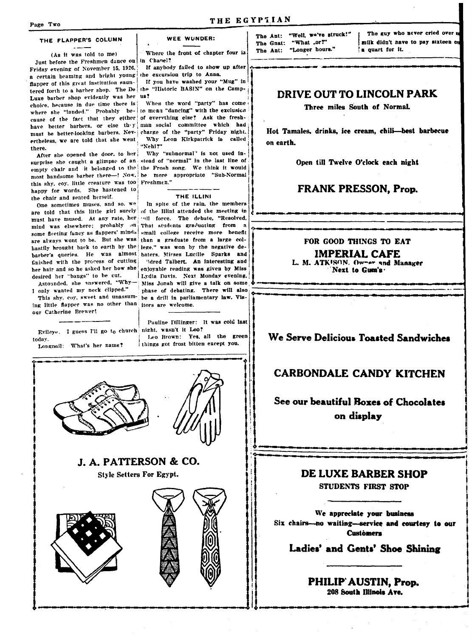#### THE FLAPPER'S COLUMN

(As it was told to me) Just before the Freshmen dance on in Chapel? Friday evening of November 15, 1926, a certain beaming and bright young the excursion trip to Anna. flapper of this great institution sauntered forth to a barber shop. The De the "Historic BASIN" on the Camp-Luxe barber shop evidently was her us? choice, because in due time there is ertheless, we are told that she went there.

After she opened the door, to her this shy, coy, little creature was too Freshmen." happy for words. She hastened to the chair and seated herself.

One sometimes muses, and so. we mind was elsewhere; probably on some fleeting fancy as flappers' minds finished with the process of cutting her hair and so he asked her how she desired her "bangs" to be cut.

I only wanted my neck clipped."

ing little flapper was no other than jtors are welcome. our Catherine Brewer!

Evileye. I guess I'll go to church night, wasn't it Leo? today.

Longnail: What's her name?



Where the front of chapter four is

If anybody failed to show up after If you have washed your "Mug" in

When the word "party" has come where she "landed." Probably be- to mean "dancing" with the exclusion cause of the fact that they either of everything else? Ask the freshhave better barbers, or else they man social committee which had must be better-looking barbers. Nev- charge of the "party" Friday night. Why Leon Kirkpatrick is called "Nehl?"

Why "subnormal" is not used insurprise she caught a glimpse of an stead of "normal" in the last line of empty chair and -it belonged to the the Frosh song. We think it would most handsome barber there-! Now, be more appropriate "Sub-Normal

#### THE ILLINI

In spite of the rain, the members are told that this little girl surely of the Illini attended the meeting in must have mused. At any rate, her | ... ]] force. The debate, "Resolved, That students graduating from small college receive more benefit are always wont to be. But she was than a graduate from a large colhastily brought back to earth by the lege." was won by the negative debarber's queries. He was almost baters, Misses Lucille Sparks and 'Idred Talbert. An interesting and enjoyable reading was given by Miss Lydia Davis. Next Monday evening. Astounded, she answered, "Why- Miss Jonah will give a talk on some phase of debating. There will also This shy, coy, sweet and unassum- be a drill in parliamentary law. Vis-

Pauline Dillinger: It was cold last

Leo Brown: Yes, all the green things got frost bitten except you.









The Ant: "Well, we've struck!" The Gnat: "What .or?" The Ant: "Longer hours."

THE EGYPTIAN

The guy who never cried over milk didn't have to pay sixteen & a quart for it.

# DRIVE OUT TO LINCOLN PARK

Three miles South of Normal.

Hot Tamales, drinks, ice cream, chili-best barbecue on earth.

Open till Twelve O'clock each night

## **FRANK PRESSON, Prop.**

FOR GOOD THINGS TO EAT

#### **IMPERIAL CAFE** L. M. ATKISON. Owner and Manager Next to Gum's.

# We Serve Delicious Toasted Sandwiches

# **CARBONDALE CANDY KITCHEN**

# See our beautiful Boxes of Chocolates on display

# DE LUXE BARBER SHOP

**STUDENTS FIRST STOP** 

We appreciate your business Six chairs-no waiting-service and courtesy to our **Customers** 

Ladies' and Gents' Shoe Shining

PHILIP' AUSTIN, Prop. 208 South Illinois Ave.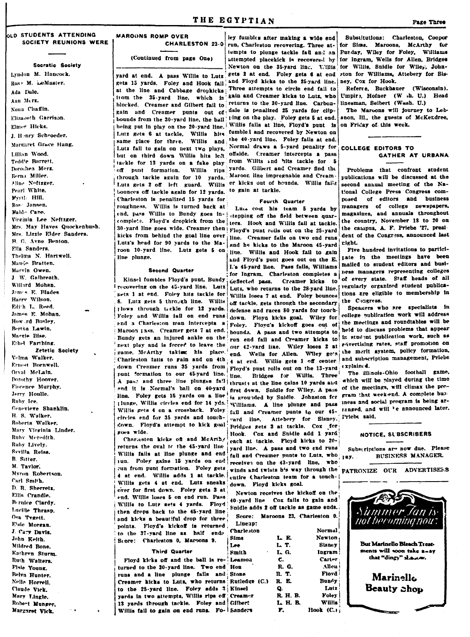### THE EGYPTIAN

#### OLD STUDENTS ATTENDING SOCIETY REUNIONS WERE

Socratic Society

Lyndon M. Hancock. Ros: M. LeMaster. Ada Dule. Ann Merz. Nona Chaffin. Elizabeth Garrison. Elmer Hicks. I Honry Schroeder Margaret Grace Hang. Lillian Wood. Teddie Barrett. Dorothea Merz. Born: Willer Aline Noftzger. Pearl White. Wyrth Hill. Ros- Jansen. Mahl. Cano. Virginia Lee Neftzger. Mrs May Haves Onockenbush. Mrs. Lizzie Elder Sanders. **B.C. Avne Benton** Ella Sanders. Thelma N. Hartwell. Mando Reatton Marvin Owen. J W Galbreath Willard Mohan. James E. Blades Harry Wilson. Edith L. Reed. James E. Mohan How rd Bosley. Bertha Lawin. Margie Bise. Ethel Farthing **Zetetic Society** Velma Walker Ernest Bornwell Orval McLain. Dorothy Hoover. Florence Murnhy. Jerry Houlle Ruhy Ice. Cenevieve Shanklin. H. S. Walker. Roberta Walker. Mary Virginia Linder. Ruby Moredith Ruby Lively. Svvilla Reiss. B. Sitter. M. Taylor. Myron Robertson. Carl Smith D. R. Sherretz. Ellis Crandle. Bernice Clardy. Lucille Thrasp. Osa Tygett. Eisie Morgan. J. Cary Davis. John Keith Mildred Bone Kathren Sturm. Ruth Walters. Fisie Young. Belva Hunter Nella Horroll Claude Vick. Mary Lingle. Robert Munger, Margaret Vick.

#### **MAROONS ROMP OVER CHARLESTON 23-0**

(Continued from page One)

gets 15 yards. Foley and Hook fail and Floyd kicks to the 25-yard line. at the line and Cabbage dropkicks; Three attempts to circle end fail to from the 35-yard line, which is sain and Creamer kicks to Lutz, who blocked. Creamer and Gilbert fail to returns to the 30-yard line. Carbongain and Creamer punts out of dale is penalized 25 yards for clipbounds from the 30-yard line, the ball ling on the play. Foley gets 5 at end. being put in play on the 20-yard line. Willis fails at line, Floyd's punt is Lutz gets 6 at tackle, Willis hits fumbled and recovered by Newton on same place for three. Willis and the 40-yard line. Foley falls at end. Lutz fail to gain on next two plays, Normal draws a 5-yard penality for COLLEGE EDITORS TO but on third down Willis hits left offside. Creamer intercepts a pass tackle for 13 yards on a fake play off punt formation. Willis rips vards. Gilbert and Creamer find the through tackle again for 10 yards. Lutz gets 2 off left guard. Willis er kicks out of bounds. Willis fails bounces off tackle again for 12 yards. to gain at tackle. Charleston is penalized 15 vards for roughness. Willis is turned back at end, pass Willis to Bundy goes in- stepping off the field between quarcomplete. Floyd's dropkick from the ters. Hook and Willis fail at tackle. 30-yard line goes wide. Creamer then Floyd's punt roils out on the 25-yard kicks from behind the goal line over line. Creamer fails on two end runs Lutz's head for 90 yards to the Ma- and he kicks to the Maroon 45-yard roon 10-yard line. Lutz gets 5 on line plunge.

#### Second Quarter

Kinsel fumbles Floyd's punt, Bundy gets 1 at end. Foley hits tackle for 8. Lutz gets 5 through line. Willis plows through tackle for 12 yards. defense and races 80 yards for touch-Maroon [3ss. Creamer gets 7 at end. line. Foley gets 15 yards on a line circles end for 35 yards and touchdown. Floyd's attempt to kick goal zoes wide.

Charleston kicks of and McArthy returns the oval ic the 45-yard line Willis fails at line plunge and end jun. Foley gains 15 yards on end run from punt formation. Foley gets 4 at end. Willis adds 1 at tackle. Willis gets 4 at end. Lutz sneaks over for first down. Foley gets 3 at end. Willis loses 5 on end run. Pass Willis to Lutz gets 4 yards. Floyd then drops back to the 45-yard line and kicks a beautiful drop for three points. Floyd's kickoff is returned to the 37-yard line as half ends Store: Charleston 0, Maroons 9.

#### **Third Quarter**

Floyd kicks off and the ball is re-Lean turned to the 30-yard line. Two end Hon runs and a line plunge fails and Stone Creamer kicks to Lutz, who returns Rutle to the 25-yard line. Foley adds 5 Kinse yards in two attempts. Willis rips off Crean 13 yards through tackle. Foley and Gilbe Willis fail to gain on end runs. Fo- Sande

ley fumbles after making a wide end run, Charleston recovering. Three attempts to plunge tackle fail and an attempted placekick is recovered by from Willis and hits tackle for 5 Maroon line impregnable and Cream.

#### **Equeth Quarter**

Luts cost his team 5 yards by line. Willis and Hook fail to gain and Floyd's punt goes out on the E. I.'s 45-yard line. Pass fails, Williams for Ingram. Charleston completes a deflected page. Creamer kicks, to recovering on the 45-yard line. Lutz | Lutz, who returns to the 28-yard line. regularly organized student publica-Willis loses 7 at end. Foley bounces off tackle, gets through the secondary Foley and Willis fall on end runs down. Ployd kicks goal. Wiley for and a Charleston man intercepts a Foley. Flova's kickoff goes out of bounds. A pass and two attempts to Bundy gets an injured ankle on the run end fail and Creamer kicks to next play and is forced to leave the our 42-yard line. Wiley loses 2 at sometime rates, staff promotion on game. McArthy taking his place. end. Wells for Allen. Wiley gots, the merit system, policy formation, end. Wells for Allen. Wiley gots, the merit system, policy formation, Charleston fails to gain and on 4th 4 at end. Willis gets 1 off center and subscription management, Priebe down Creamer runs 35 yards from Floyd's punt rolls out on the 13-yard explained. punt formation to our 45-yard line. Bridges for Willis. Three A pass and three line plunges fall thrusts at the line gains 10 yards and which will be played during the time and it is Normal's ball on 40-yard first down. Snidle for Wiley, A pass of the meetings, will climax the prois grounded by Snidle. Johnston for Fram that week-end. A complete bustlunge. Willis circles end for 14 yds. Williams. A line plunge and pass iness and social program is being ar-Willis gets 4 on a crossback. Foley fail and Creamer punts to our 45- ranged, and will be announced later. vard line. Attebery for Sisney. Priebt said. Pridges gets 3 at tackle. Cox for Hook. Cox and Snidle add 1 yard each at tackle. Floyd kicks to 20yard line. A pass and two end runs fail and Creamer nunts to Lutz, who receives on the 43-yard line, who winds and twists his way through the entire Charleston team for a touchdown. Floyd kicks goal.

Newton receives the kickoff on the 40-yard line Cox fails to gain and Snidle adds 2 off tackle as game ends. Score: Maroons 23, Charleston 0.

Lineap: Charl

|          | Normal    |
|----------|-----------|
| L E.     | Newton    |
| L T.     | Sisney    |
| L. G.    | Ingram    |
| С.       | Carter    |
| R. G.    | Allen     |
| n. T.    | Floyd     |
| R. E.    | Bundy     |
| Q.       | Lntz      |
| R. H. B. | Foley     |
| L H. B.  | Willis    |
| F.       | Hook (C.) |
|          |           |

Substitutions: Charleston, Cooper for Sims. Maroons, McArthy for Punday, Wiley for Foley, Williams for Ingram, Wells for Allen, Bridges Newton on the 35-yard line. Willis for Willis, Snidle for Wiley, Johnyard at end. A pass Willis to Lutz gets 2 at end. Foley gets 6 at end ston for Williams, Attebery for Sisney. Cox for Hook.

Referee. Buckbauer (Wisconsin). Umpire, Hofner (W .h. U.) Head linesman, Seibert (Wash. U.)

The Maroons will journey to Lebanon, Ill., the guests of McKendree. on Friday of this week.

# GATHER AT URBANA

Problems that confront student publications will be discussed at the second annual meeting of the National College Press Congress composed of editors and business managers of college newspapers, magazines, and annuals throughout the country, November 18 to 20 on the campus. A. F. Priebe '27, president of the Congress, announced last right.

Five hundred invitations to particirate in the meetings have been mailed to student editors and business managers representing colleges of every state. Staff heads of all tions are eligible to membership in the Congress.

Speakers who are specialists in college publication work will address the meetings and roundtables will be held to discuss problems that appear in student publication work, such as

The illinois-Ohio football game,

#### NOTICE, SUBSCRIBERS

Subscriptions are now due. Please BUSINESS MANAGER. 1-8V.

PATRONIZE OUR ADVERTISEES

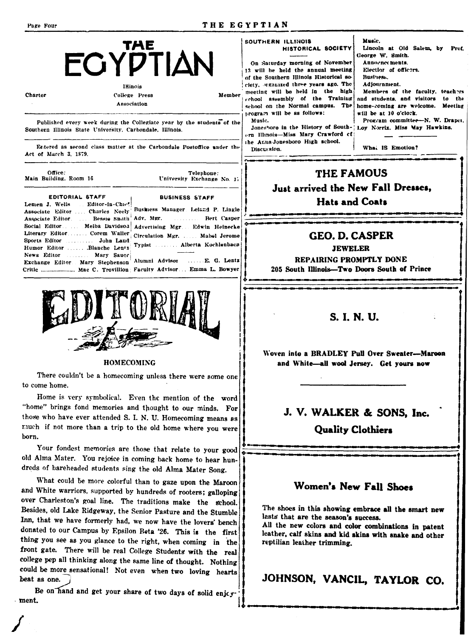| Page Four                                                                                                                                                                                                                                                                                                                                                                                                                                                                                                                                                                                                                                     |                                                                                                                                                                                                                                                                                          | THE EGYPTIAN                                                                                                                                                                                    |                                                                                                                                                                                                                                                                                                                                                                                                                                                                                                                       |                                                                                                                                                                                                                                                                                                                                           |  |
|-----------------------------------------------------------------------------------------------------------------------------------------------------------------------------------------------------------------------------------------------------------------------------------------------------------------------------------------------------------------------------------------------------------------------------------------------------------------------------------------------------------------------------------------------------------------------------------------------------------------------------------------------|------------------------------------------------------------------------------------------------------------------------------------------------------------------------------------------------------------------------------------------------------------------------------------------|-------------------------------------------------------------------------------------------------------------------------------------------------------------------------------------------------|-----------------------------------------------------------------------------------------------------------------------------------------------------------------------------------------------------------------------------------------------------------------------------------------------------------------------------------------------------------------------------------------------------------------------------------------------------------------------------------------------------------------------|-------------------------------------------------------------------------------------------------------------------------------------------------------------------------------------------------------------------------------------------------------------------------------------------------------------------------------------------|--|
| <b>Charter</b>                                                                                                                                                                                                                                                                                                                                                                                                                                                                                                                                                                                                                                | <b>THE</b><br>ΕΟΥΡΤΙΔΝ<br><b>Ilinois</b><br>College Press<br>Association<br>Published every week during the Collegiate year by the students of the<br>Southern Illinois State University, Carbondale, Illinois.<br>Extered as second class matter at the Carbondale Postoffice under the | Member                                                                                                                                                                                          | SOUTHERN ILLINOIS<br>HISTORICAL SOCIETY<br>On Saturday morning of November<br>13 will be held the annual meeting<br>of the Southern Illinois Historical so-<br>ciety, organized three years ago. The<br>meeting will be held in the high<br>school assembly of the Training<br>school on the Normal campus. The<br>program will be as follows:<br>Music.<br>Jonesboro in the History of South-  Loy Norrix. Miss May Hawkins.<br>ern Illinois-Miss Mary Crawford cf<br>the Auna-Jonesboro High school.<br>Discursion. | Music.<br>Lincoln at Old Salem, by<br>Prof.<br>George W. Smith.<br>Annoynce ments.<br>Electior of officers.<br>Business.<br>Adjournment.<br>Members of the faculty, teachers<br>and students, and visitors<br>to the<br>home-coming are welcome. Meeting<br>will be at 10 o'clock.<br>Program committee-N. W. Drapet.<br>What IS Emotion? |  |
| Act of March 3, 1879.                                                                                                                                                                                                                                                                                                                                                                                                                                                                                                                                                                                                                         |                                                                                                                                                                                                                                                                                          |                                                                                                                                                                                                 |                                                                                                                                                                                                                                                                                                                                                                                                                                                                                                                       |                                                                                                                                                                                                                                                                                                                                           |  |
| Office:<br>Telephone:<br>Main Building, Room 16<br>University Exchange No. 17<br><b>EDITORIAL STAFF</b><br><b>BUSINESS STAFF</b><br>Lemen J. Wells Editor-in-Chief<br>Business Manager Leland P. Lingle<br>Associate Editor  Charles Neely<br>Adv. Mgr.<br><b>Bert Casper</b><br>Associate Editor  Bessie Snath<br>Social Editor Melba Davidson<br>Advertising Mgr Edwin Heinecke<br>Literary Editor  Corem Waller<br>Circulation Mgr.  Mahel Jerome<br>Sports Editor  John Land<br>Typist  Alberta Kochlenbacu<br>Humor Editor  Blanche Lentz<br>News Editor Mary Sauer<br>Alumni Advisor<br>E. G. Lentz<br>Exchange Editor. Mary Stephenson |                                                                                                                                                                                                                                                                                          | THE FAMOUS<br>Just arrived the New Fall Dresses,<br><b>Hats and Coats</b><br><b>GEO. D. CASPER</b><br><b>JEWELER</b><br>REPAIRING PROMPTLY DONE<br>205 South Illinois—Two Doors South of Prince |                                                                                                                                                                                                                                                                                                                                                                                                                                                                                                                       |                                                                                                                                                                                                                                                                                                                                           |  |
|                                                                                                                                                                                                                                                                                                                                                                                                                                                                                                                                                                                                                                               |                                                                                                                                                                                                                                                                                          |                                                                                                                                                                                                 |                                                                                                                                                                                                                                                                                                                                                                                                                                                                                                                       |                                                                                                                                                                                                                                                                                                                                           |  |

Woven into a BRADLEY Pull Over Sweater-Marcon and White-all wool Jersey. Get yours now

# J. V. WALKER & SONS, Inc.

**Quality Clothiers** 

# Women's New Fall Shoes

The shoes in this showing embrace all the smart new lasts that are the season's success.

All the new colors and color combinations in patent leather, calf skins and kid skins with snake and other reptilian leather trimming.

JOHNSON, VANCIL, TAYLOR CO.

What could be more colorful than to gaze upon the Maroon and White warriors, supported by hundreds of rooters; galloping over Charleston's goal line. The traditions make the school. Besides, old Lake Ridgeway, the Senior Pasture and the Stumble Inn, that we have formerly had, we now have the lovers' bench donated to our Campus by Epsilon Beta '26. This is the first thing you see as you glance to the right, when coming in the front gate. There will be real College Students with the real college pep all thinking along the same line of thought. Nothing could be more sensational! Not even when two loving hearts

Be on hand and get your share of two days of solid enjoy · ment.

beat as one.





#### **HOMECOMING**

There couldn't be a homecoming unless there were some one to come home.

Home is very symbolical. Even the mention of the word "home" brings fond memories and thought to our minds. For those who have ever attended S. I. N. U. Homecoming means as much if not more than a trip to the old home where you were born.

Your fondest memories are those that relate to your good old Alma Mater. You rejoice in coming back home to hear hundreds of bareheaded students sing the old Alma Mater Song.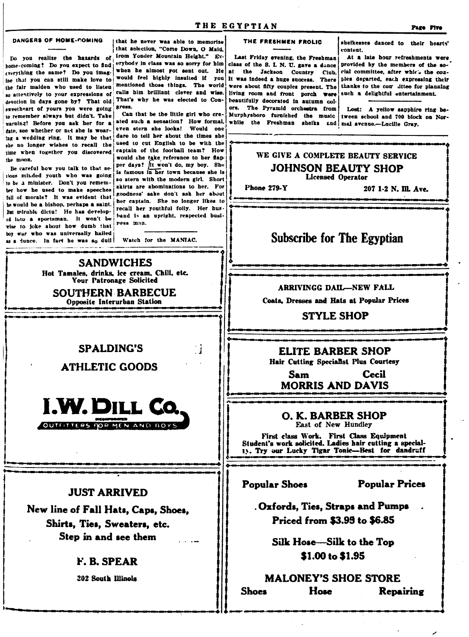#### DANGERS OF HOME-COMING

home-coming! Do you expect to find everything the same? Do you imagine that you can still make love to the fair maiden who used to listen so attentively to your expressions of devotion in days gone by? That old sweetheart of yours you were going to remember always but didn't. Take warning! Before you ask her for a date, see whether or net she is wearing a wedding ring. It may be that she no longer wishes to recall the time when together you discovered the moon.

Be careful how you talk to that sefous minded youth who was going to be a minister. Don't you remember how he used to make speeches full of morals? It was evident that be would be a bishop, perhaps a saint. But mirable dictu! He has developed into a sportsman. It won't be vise to joke about how dumb that boy war who was universally hailed as a junce. In fact he was so dull

that he never was able to memorize that selection, "Come Down, O Maid. Do you realize the hazards of from Yonder Mountain Height." Everybody in class was so sorry for him when he almost rot sent out. He would feel highly insulted if you mentioned those things. The world calls him brilliant clever and wise. That's why he was elected to Congress.

> Can that be the little girl who created such a sensation? How formal, even stern she looks! Would one dare to tell her about the times she used to cut English to be with the captain of the football team? How would she take reference to her flap-

> per days? It won't do, my boy. She is famous in her town because she is so stern with the modern girl. Short skirts are abominations to her. For goodness' sake don't ask her about her captain. She no longer likes to recall her youthful folly. Her husband is an upright, respected busiress man.

Watch for the MANIAC.

#### THE FRESHMEN FROLIC

Last Friday evening, the Freshman class of the S. I. N. U. gave a dance at the Jackson Country Club. It was indeed a huge success. There were about fifty couples present. The living room and front porch were beautifully decorated in autumn colors. The Pyramid orchestra from Murphysboro furnished the music while the Freshman sheiks haa

sheikesses danced to their hearts' content.

At a late hour refreshments were provided by the members of the social committee, after which the couples departed, each expressing their thanks to the cor littee for planning such a delightful entertainment.

Lost: A yellow sapphire ring between school and 700 block on Normal avenue.-Lucille Grav.

WE GIVE A COMPLETE BEAUTY SERVICE **JOHNSON BEAUTY SHOP Licensed Operator** Phone 279-Y 207 1-2 N. Ill. Ave. **Subscribe for The Egyptian SANDWICHES** Hot Tamales, drinks, ice cream, Chili, etc. **Your Patronage Solicited ARRIVINGG DAIL-NEW FALL SOUTHERN BARBECUE** Coats, Dresses and Hats at Popular Prices **Opposite Interurban Station STYLE SHOP** - 1 **ELITE BARBER SHOP** Hair Cutting Specialist Plus Courtesy Cecil Sam **MORRIS AND DAVIS** O. K. BARBER SHOP East of New Hundley First class Work. First Class Equipment<br>Student's work solicited. Ladies hair cutting a special-13. Try our Lucky Tigar Tonic-Best for dandruff **Popular Shoes Popular Prices Oxfords, Ties, Straps and Pumps** Priced from \$3.95 to \$6.85 Silk Hose-Silk to the Top \$1.00 to \$1.95 **MALONEY'S SHOE STORE Shoes** Hose **Repairing** 

# **SPALDING'S**

**ATHLETIC GOODS** 



### **JUST ARRIVED**

New line of Fall Hats, Caps, Shoes, Shirts, Ties, Sweaters, etc. Step in and see them

## F. B. SPEAR

**202 South Illinois**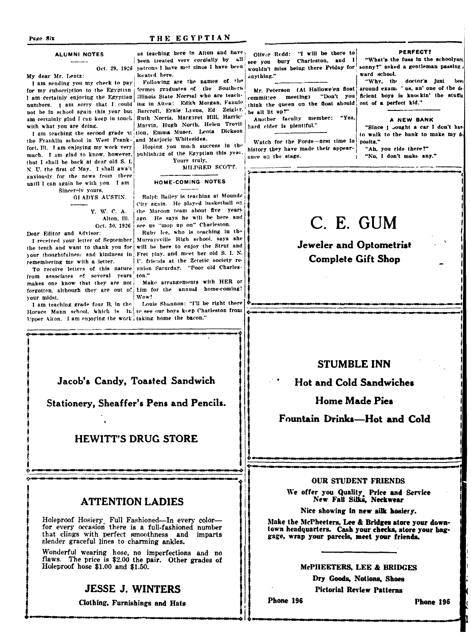#### THE EGYPTIAN

#### **ALUMNI NOTES**

My dear Mr. Lentz:

I am sending you my check to pay for my subscription to the Egyptian I am certainly enjoying the Egyptian illinois State Normal who are teachnumbers. I am sorry that I could ing in Alten: Edith Morgan, Fannie not be in school again this year but Barcroft, Ernie Lyons, Ed Zeigler. am certainly glad I can keep in touch Ruth Norris. Margaret Hill, Harric' with what you are doing.

the Franklin school in West Frank- and Marjorie Whitesides. fort. Ill. I am enjoying my work very much. I am glad to know, however. that I shall be back at dear old S. I. N. U. the first of May. I shall await anxiously for the news from there until I can again be with you. I am Sincerely yours.

GI ADYS AUSTIN.

V W C A Alton, Ill. Oct. 30, 1926

Dear Editor and Advisor:

I received your letter of September the tenth and want to thank you for your thoughtfulness and kindness in remembering me with a letter.

To receive letters of this nature from associates of several years makes one know that they are not forgotten, although they are out of him for the annual home-coming! vour midst.

I am teaching grade four B, in the Horace Mann school, which is in te see our boys keep Charleston from Upper Alton. I am enjoying the work taking home the bacon."

as teaching here in Alton and have been treated very cordially by all Oct. 29, 1926 patrons I have met since I have been located here.

Following are the names of the fermer graduates of the Southern Marvin, Hugh North, Helen Trovil-I am teaching the second grade at tion. Emma Muser. Leota Dickson

> Hoping you much success in the publishing of the Egyptian this year.

Yours truly, MILDRED SCOTT.

Ralph Bailey is teaching at Mounds City again. He played basketball on the Marcon team about five years ago. He says he will be here and

Ruby Ice, who is teaching in the Murraysville High school, says she will be here to enjoy the Strut and Fret play, and meet her old S. I. N. U. friends at the Zetetic society reunion Saturday. "Poor old Charleston."

Wow!

Louis Shannon: "I'll be right there

Jacob's Candy, Toasted Sandwich

Stationery, Sheaffer's Pens and Pencils.

# **HEWITT'S DRUG STORE**

# **ATTENTION LADIES**

Holeproof Hosiery Full Fashioned-In every colorfor every occasion there is a full-fashioned number that clings with perfect smoothness and imparts slender graceful lines to charming ankles.

Wonderful wearing hose, no imperfections and no<br>flaws. The price is \$2.00 the pair. Other grades of Holeproof hose \$1.00 and \$1.50.

## **JESSE J. WINTERS**

Clothing, Furnishings and Hats

Oliver Redd: "I will be there to see you bury Charleston, and I wouldn't miss being there Friday for a<mark>nything."</mark>

(At Hallowe'en float Mr. Peterson meeting) "Don't you commit:ee think the queen on the float should be all lit up?"

Another faculty member: hard cider is plentiful."

Watch for the Fords-first time in history they have made their appearance on the stage.

PERFECT?

"What's the fuss in the schoolyard sonny?" asked a gentleman passing ward school.

"Why, the doctor's just bee around exam. 'us, an' one of the de ficient boys is knockin' the stuffit out of a perfect kid."

A NEW BANK

"Since I bought a car I don't have to walk to the bank to make my de posits."

"Ah, you ride there?" "No. I don't make any."

# C. E. GUM

**Jeweler and Optometrist Complete Gift Shop** 

# **STUMBLE INN**

**Hot and Cold Sandwiches** 

**Home Made Pies** 

Fountain Drinks-Hot and Cold

#### **OUR STUDENT FRIENDS**

We offer you Quality Price and Service<br>New Fall Silks, Neckwear

Nice showing in new silk hosiery.

Make the McPheeters, Lee & Bridges store your downtown headquarters. Cash your checks, store your baggage, wrap your parcels, meet your friends.

#### McPHEETERS, LEE & BRIDGES

Dry Goods, Notions, Shoes **Pictorial Review Patterns** 

Phone 196

#### Page Six

HOME-COMING NOTES

see us "mop up on" Charleston.

# Make arrangements with HER or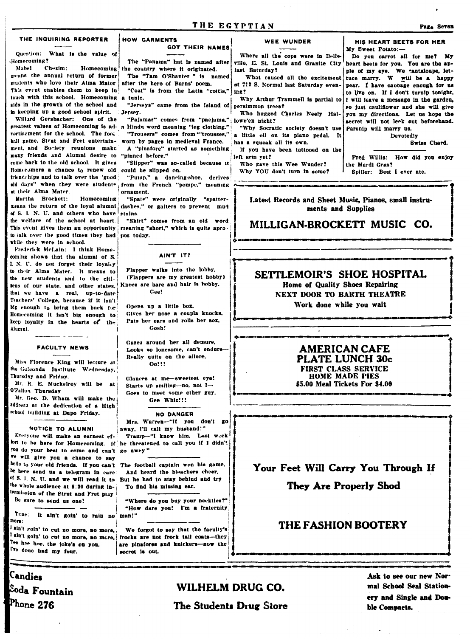#### THE INQUIRING REPORTER

#### Question: What is the value of Homecoming?

Mahel Chezim: Homecoming means the annual return of former students who love their Alma Mater This event enables them to keep in touch with this school. Homecoming a tunic. aids in the growth of the school and in keeping up a good school spirit.

Willard Gershacher: One of the greatest values of Homecoming is ad- a Hindu word meaning "leg clothing." vertisement for the school. The fool hall game. Strut and Fret entertainment. and Society reunions make many friends and Alumni desire to "pinned before." come back to the old school. It gives Homecomers a chance to renew old friendships and to talk over the 'good at their Alma Mater.

Martha Brockett-Homecoming means the return of the loyal alumni of S. I. N. U. and others who have the welfare of the school at heart. to talk over the good times they had while they were in school.

Frederick McLain: I think Homecoming shows that the alumni of S. I. N. U. do not forget their loyaliy to their Alma Mater. It means to the new students and to the cititens of our state, and other states. that we have a real. up-to-date Trachers' College, because if it isn't big enough to bring them back for Homecoming it isn't big enough to keep loyalty in the hearts of the Alumni.

#### **FACULTY NEWS**

Miss Florence King will lecture at the Golconda Institute Wednesday. Thursday and Friday.

Mr. R. E. Muckelroy will be at O'Fallon Thursday

Mr. Geo. D. Wham will make the address at the dedication of a High school building at Dupo Friday.

#### NOTICE TO ALUMNI

Everyone will make an earnest effort to be here for Homecoming. It "ou do your best to come and can't go awry." re will give you a chance to say be here send us a telegram in care of S. I. N. U. and we will read it to But he had to stay behind and try he whole audience at 8:30 during inermission of the Etrut and Fret play

Be sure to send us one!

Tune: It ain't goin' to rain no man!" aone -

ain't goin' to cut no more, no more, Tee hee hee, the joke's on you. I've done had my four.

Candies

 $\mathbb{P}_{\text{bone}}$  276

<sup>Soda</sup> Fountain

#### **HOW GARMENTS GOT THEIR NAMES**

the country where it originated. The "Tam O'Shanter " is named

after the hero of Burns' poem. "Coat" is from the Latin "cottis."

"Jerseys" came from the Island of Jersey.

"Pajamas" comes from "paejama," lowe'en night? "Trousers" comes from "trousses." worn by pages in medieval France. A "pinafore" started as something

"Slipper" was so-called because it could be slipped on.

"Pump." a dancing-shoe, derives old days" when they were student from the French "pompe," meaning ornament.

"Spats" were originally "spatterdashes." or gaiters to prevent mud stains.

"Skirt" comes from an old word This event gives them an opportunity meaning "short." which is quite apronos today.

#### AIN'T IT?

Flapper walks into the lobby. (Flappers are my greatest hobby) Knees are bare and hair is hobby. Gee!

Opens up a little box, Gives her nose a coupla knocks. Pats her ears and rolls her sox, Gosh!

Gazes around her all demure, Looks so lonesome, can't endure-Really quite on the allure,  $0<sub>0</sub>$ 

Glances at me-sweetest eye! Starts up smiling-no, not  $I$ --Goes to meet some other guy. Geo Whiz!!!

**NO DANGER** Mrs. Warren-"If you don't go away, I'll call my husband!" Tramp-"I know him. Lust week he threatened to call you if I didn't

hello to your old friends. If you can't The football captain won his game, And heard the bleachers cheer. To find his missing ear.

> "Where do you buy your neckties?" "How dare you! I'm a fraternity

We forgot to say that the faculty's ain't goin' to cut no more, no more, frocks are not frock tail coats-they are pinafores and knickers-now the necret in out.

#### WEE WUNDER

Where all the cops were in Belle-The "Panama" hat is named after ville, E. St. Louis and Granite City last Saturday?

What caused all the excitement at 712 S. Normal last Saturday evenl tee?

Why Arthur Trammell is partial to tersimmon trees?

Who hugged Charles Neely Hal-"Why Socratic society doesn't use

a little oil on its piano pedal. It

has a rqueak all its own. If you have been tattooed on the

left arm vet? Who gave this Wee Wunder?

Why YOU don't turn in some?

heart beets for you. You are the apple of my eye. We cantaloupe, lettuce marry. W will be a happy pear. I have capbage enough for us to live on. If I don't turnip tonight,

I will leave a message in the garden, so just cauliflower and she will give you my directions. Let us hope the secret will not leek out beforehand. Parsnip will marry us.

> Devotedly Swiss Chard.

Fred Willis: How did you enjoy the Mardi Gras?

Spiller: Best I ever ate.

Latest Records and Sheet Music. Pianos, small instruments and Supplies

# MILLIGAN-BROCKETT MUSIC CO.

Home of Quality Shoes Repairing NEXT DOOR TO BARTH THEATRE Work done while you wait

#### **AMERICAN CAFE** PLATE LUNCH 30c FIRST CLASS SERVICE **HOME MADE PIES** \$5.00 Meal Tickets For \$4.00

Your Feet Will Carry You Through If

They Are Properly Shod

# **THE FASHION BOOTERY**

# WILHELM DRUG CO.

Ask to see our new Normal School Seal Stationery and Single and Double Compacts.

### Pag<sub>a</sub> Seven

# HIS HEART BEETS FOR HER My Sweet Potato:-Do you carrot all for me? My

SETTLEMOIR'S SHOE HOSPITAL

The Students Drug Store